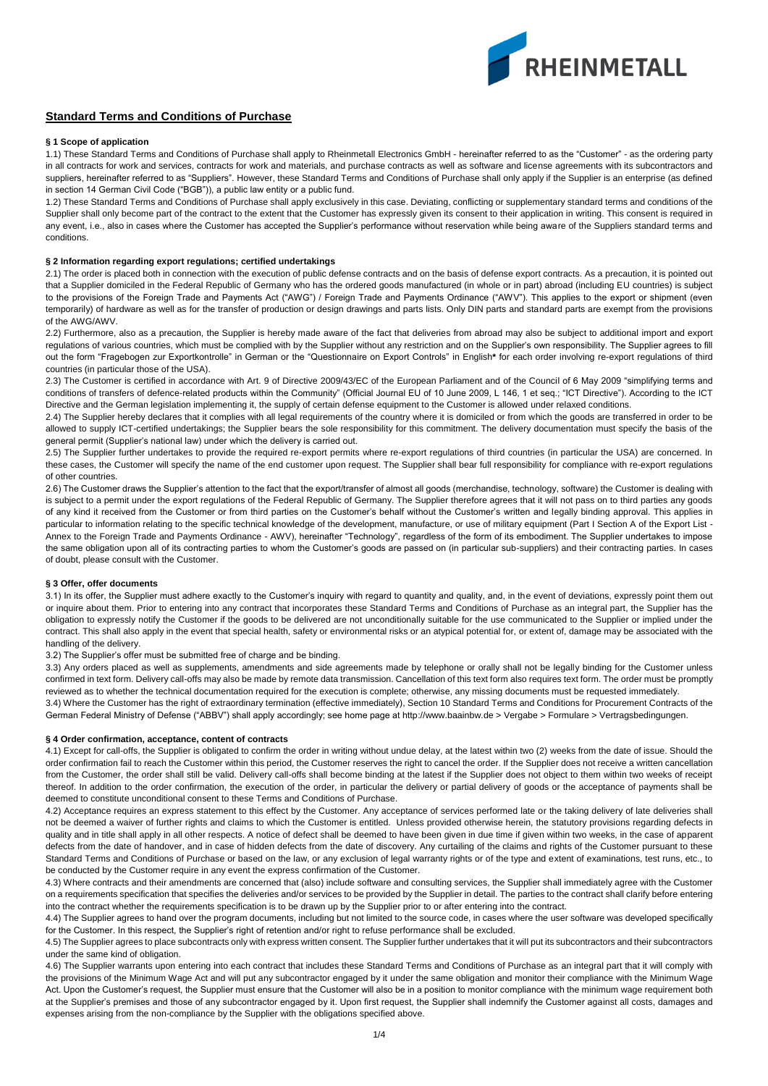

# **Standard Terms and Conditions of Purchase**

### **§ 1 Scope of application**

1.1) These Standard Terms and Conditions of Purchase shall apply to Rheinmetall Electronics GmbH - hereinafter referred to as the "Customer" - as the ordering party in all contracts for work and services, contracts for work and materials, and purchase contracts as well as software and license agreements with its subcontractors and suppliers, hereinafter referred to as "Suppliers". However, these Standard Terms and Conditions of Purchase shall only apply if the Supplier is an enterprise (as defined in section 14 German Civil Code ("BGB")), a public law entity or a public fund.

1.2) These Standard Terms and Conditions of Purchase shall apply exclusively in this case. Deviating, conflicting or supplementary standard terms and conditions of the Supplier shall only become part of the contract to the extent that the Customer has expressly given its consent to their application in writing. This consent is required in any event, i.e., also in cases where the Customer has accepted the Supplier's performance without reservation while being aware of the Suppliers standard terms and conditions.

## **§ 2 Information regarding export regulations; certified undertakings**

2.1) The order is placed both in connection with the execution of public defense contracts and on the basis of defense export contracts. As a precaution, it is pointed out that a Supplier domiciled in the Federal Republic of Germany who has the ordered goods manufactured (in whole or in part) abroad (including EU countries) is subject to the provisions of the Foreign Trade and Payments Act ("AWG") / Foreign Trade and Payments Ordinance ("AWV"). This applies to the export or shipment (even temporarily) of hardware as well as for the transfer of production or design drawings and parts lists. Only DIN parts and standard parts are exempt from the provisions of the AWG/AWV.

2.2) Furthermore, also as a precaution, the Supplier is hereby made aware of the fact that deliveries from abroad may also be subject to additional import and export regulations of various countries, which must be complied with by the Supplier without any restriction and on the Supplier's own responsibility. The Supplier agrees to fill out the form "Fragebogen zur Exportkontrolle" in German or the "Questionnaire on Export Controls" in English**\*** for each order involving re-export regulations of third countries (in particular those of the USA).

2.3) The Customer is certified in accordance with Art. 9 of Directive 2009/43/EC of the European Parliament and of the Council of 6 May 2009 "simplifying terms and conditions of transfers of defence-related products within the Community" (Official Journal EU of 10 June 2009, L 146, 1 et seq.; "ICT Directive"). According to the ICT Directive and the German legislation implementing it, the supply of certain defense equipment to the Customer is allowed under relaxed conditions.

2.4) The Supplier hereby declares that it complies with all legal requirements of the country where it is domiciled or from which the goods are transferred in order to be allowed to supply ICT-certified undertakings; the Supplier bears the sole responsibility for this commitment. The delivery documentation must specify the basis of the general permit (Supplier's national law) under which the delivery is carried out.

2.5) The Supplier further undertakes to provide the required re-export permits where re-export regulations of third countries (in particular the USA) are concerned. In these cases, the Customer will specify the name of the end customer upon request. The Supplier shall bear full responsibility for compliance with re-export regulations of other countries.

2.6) The Customer draws the Supplier's attention to the fact that the export/transfer of almost all goods (merchandise, technology, software) the Customer is dealing with is subject to a permit under the export regulations of the Federal Republic of Germany. The Supplier therefore agrees that it will not pass on to third parties any goods of any kind it received from the Customer or from third parties on the Customer's behalf without the Customer's written and legally binding approval. This applies in particular to information relating to the specific technical knowledge of the development, manufacture, or use of military equipment (Part I Section A of the Export List -Annex to the Foreign Trade and Payments Ordinance - AWV), hereinafter "Technology", regardless of the form of its embodiment. The Supplier undertakes to impose the same obligation upon all of its contracting parties to whom the Customer's goods are passed on (in particular sub-suppliers) and their contracting parties. In cases of doubt, please consult with the Customer.

## **§ 3 Offer, offer documents**

3.1) In its offer, the Supplier must adhere exactly to the Customer's inquiry with regard to quantity and quality, and, in the event of deviations, expressly point them out or inquire about them. Prior to entering into any contract that incorporates these Standard Terms and Conditions of Purchase as an integral part, the Supplier has the obligation to expressly notify the Customer if the goods to be delivered are not unconditionally suitable for the use communicated to the Supplier or implied under the contract. This shall also apply in the event that special health, safety or environmental risks or an atypical potential for, or extent of, damage may be associated with the handling of the delivery.

3.2) The Supplier's offer must be submitted free of charge and be binding.

3.3) Any orders placed as well as supplements, amendments and side agreements made by telephone or orally shall not be legally binding for the Customer unless confirmed in text form. Delivery call-offs may also be made by remote data transmission. Cancellation of this text form also requires text form. The order must be promptly reviewed as to whether the technical documentation required for the execution is complete; otherwise, any missing documents must be requested immediately.

3.4) Where the Customer has the right of extraordinary termination (effective immediately), Section 10 Standard Terms and Conditions for Procurement Contracts of the German Federal Ministry of Defense ("ABBV") shall apply accordingly; see home page at http://www.baainbw.de > Vergabe > Formulare > Vertragsbedingungen.

## **§ 4 Order confirmation, acceptance, content of contracts**

4.1) Except for call-offs, the Supplier is obligated to confirm the order in writing without undue delay, at the latest within two (2) weeks from the date of issue. Should the order confirmation fail to reach the Customer within this period, the Customer reserves the right to cancel the order. If the Supplier does not receive a written cancellation from the Customer, the order shall still be valid. Delivery call-offs shall become binding at the latest if the Supplier does not object to them within two weeks of receipt thereof. In addition to the order confirmation, the execution of the order, in particular the delivery or partial delivery of goods or the acceptance of payments shall be deemed to constitute unconditional consent to these Terms and Conditions of Purchase.

4.2) Acceptance requires an express statement to this effect by the Customer. Any acceptance of services performed late or the taking delivery of late deliveries shall not be deemed a waiver of further rights and claims to which the Customer is entitled. Unless provided otherwise herein, the statutory provisions regarding defects in quality and in title shall apply in all other respects. A notice of defect shall be deemed to have been given in due time if given within two weeks, in the case of apparent defects from the date of handover, and in case of hidden defects from the date of discovery. Any curtailing of the claims and rights of the Customer pursuant to these Standard Terms and Conditions of Purchase or based on the law, or any exclusion of legal warranty rights or of the type and extent of examinations, test runs, etc., to be conducted by the Customer require in any event the express confirmation of the Customer.

4.3) Where contracts and their amendments are concerned that (also) include software and consulting services, the Supplier shall immediately agree with the Customer on a requirements specification that specifies the deliveries and/or services to be provided by the Supplier in detail. The parties to the contract shall clarify before entering into the contract whether the requirements specification is to be drawn up by the Supplier prior to or after entering into the contract.

4.4) The Supplier agrees to hand over the program documents, including but not limited to the source code, in cases where the user software was developed specifically for the Customer. In this respect, the Supplier's right of retention and/or right to refuse performance shall be excluded.

4.5) The Supplier agrees to place subcontracts only with express written consent. The Supplier further undertakes that it will put its subcontractors and their subcontractors under the same kind of obligation.

4.6) The Supplier warrants upon entering into each contract that includes these Standard Terms and Conditions of Purchase as an integral part that it will comply with the provisions of the Minimum Wage Act and will put any subcontractor engaged by it under the same obligation and monitor their compliance with the Minimum Wage Act. Upon the Customer's request, the Supplier must ensure that the Customer will also be in a position to monitor compliance with the minimum wage requirement both at the Supplier's premises and those of any subcontractor engaged by it. Upon first request, the Supplier shall indemnify the Customer against all costs, damages and expenses arising from the non-compliance by the Supplier with the obligations specified above.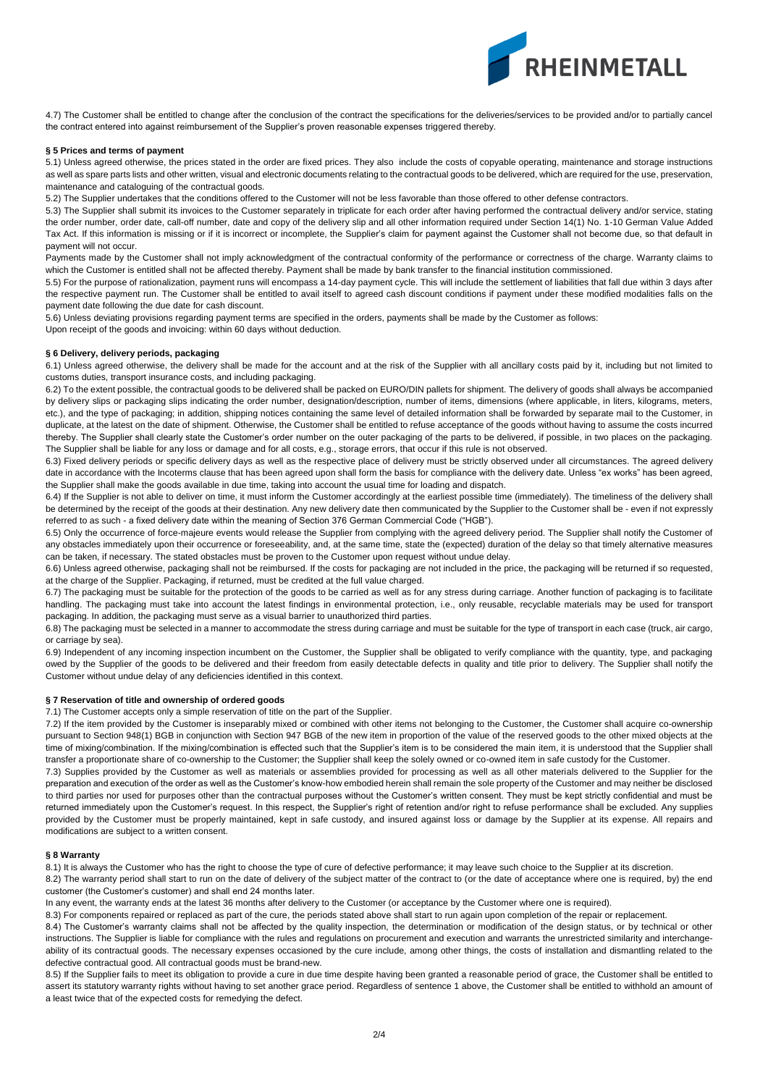

4.7) The Customer shall be entitled to change after the conclusion of the contract the specifications for the deliveries/services to be provided and/or to partially cancel the contract entered into against reimbursement of the Supplier's proven reasonable expenses triggered thereby.

#### **§ 5 Prices and terms of payment**

5.1) Unless agreed otherwise, the prices stated in the order are fixed prices. They also include the costs of copyable operating, maintenance and storage instructions as well as spare parts lists and other written, visual and electronic documents relating to the contractual goods to be delivered, which are required for the use, preservation, maintenance and cataloguing of the contractual goods.

5.2) The Supplier undertakes that the conditions offered to the Customer will not be less favorable than those offered to other defense contractors.

5.3) The Supplier shall submit its invoices to the Customer separately in triplicate for each order after having performed the contractual delivery and/or service, stating the order number, order date, call-off number, date and copy of the delivery slip and all other information required under Section 14(1) No. 1-10 German Value Added Tax Act. If this information is missing or if it is incorrect or incomplete, the Supplier's claim for payment against the Customer shall not become due, so that default in payment will not occur.

Payments made by the Customer shall not imply acknowledgment of the contractual conformity of the performance or correctness of the charge. Warranty claims to which the Customer is entitled shall not be affected thereby. Payment shall be made by bank transfer to the financial institution commissioned.

5.5) For the purpose of rationalization, payment runs will encompass a 14-day payment cycle. This will include the settlement of liabilities that fall due within 3 days after the respective payment run. The Customer shall be entitled to avail itself to agreed cash discount conditions if payment under these modified modalities falls on the payment date following the due date for cash discount.

5.6) Unless deviating provisions regarding payment terms are specified in the orders, payments shall be made by the Customer as follows:

Upon receipt of the goods and invoicing: within 60 days without deduction.

#### **§ 6 Delivery, delivery periods, packaging**

6.1) Unless agreed otherwise, the delivery shall be made for the account and at the risk of the Supplier with all ancillary costs paid by it, including but not limited to customs duties, transport insurance costs, and including packaging.

6.2) To the extent possible, the contractual goods to be delivered shall be packed on EURO/DIN pallets for shipment. The delivery of goods shall always be accompanied by delivery slips or packaging slips indicating the order number, designation/description, number of items, dimensions (where applicable, in liters, kilograms, meters, etc.), and the type of packaging; in addition, shipping notices containing the same level of detailed information shall be forwarded by separate mail to the Customer, in duplicate, at the latest on the date of shipment. Otherwise, the Customer shall be entitled to refuse acceptance of the goods without having to assume the costs incurred thereby. The Supplier shall clearly state the Customer's order number on the outer packaging of the parts to be delivered, if possible, in two places on the packaging. The Supplier shall be liable for any loss or damage and for all costs, e.g., storage errors, that occur if this rule is not observed.

6.3) Fixed delivery periods or specific delivery days as well as the respective place of delivery must be strictly observed under all circumstances. The agreed delivery date in accordance with the Incoterms clause that has been agreed upon shall form the basis for compliance with the delivery date. Unless "ex works" has been agreed, the Supplier shall make the goods available in due time, taking into account the usual time for loading and dispatch.

6.4) If the Supplier is not able to deliver on time, it must inform the Customer accordingly at the earliest possible time (immediately). The timeliness of the delivery shall be determined by the receipt of the goods at their destination. Any new delivery date then communicated by the Supplier to the Customer shall be - even if not expressly referred to as such - a fixed delivery date within the meaning of Section 376 German Commercial Code ("HGB").

6.5) Only the occurrence of force-majeure events would release the Supplier from complying with the agreed delivery period. The Supplier shall notify the Customer of any obstacles immediately upon their occurrence or foreseeability, and, at the same time, state the (expected) duration of the delay so that timely alternative measures can be taken, if necessary. The stated obstacles must be proven to the Customer upon request without undue delay.

6.6) Unless agreed otherwise, packaging shall not be reimbursed. If the costs for packaging are not included in the price, the packaging will be returned if so requested, at the charge of the Supplier. Packaging, if returned, must be credited at the full value charged.

6.7) The packaging must be suitable for the protection of the goods to be carried as well as for any stress during carriage. Another function of packaging is to facilitate handling. The packaging must take into account the latest findings in environmental protection, i.e., only reusable, recyclable materials may be used for transport packaging. In addition, the packaging must serve as a visual barrier to unauthorized third parties.

6.8) The packaging must be selected in a manner to accommodate the stress during carriage and must be suitable for the type of transport in each case (truck, air cargo, or carriage by sea).

6.9) Independent of any incoming inspection incumbent on the Customer, the Supplier shall be obligated to verify compliance with the quantity, type, and packaging owed by the Supplier of the goods to be delivered and their freedom from easily detectable defects in quality and title prior to delivery. The Supplier shall notify the Customer without undue delay of any deficiencies identified in this context.

## **§ 7 Reservation of title and ownership of ordered goods**

7.1) The Customer accepts only a simple reservation of title on the part of the Supplier.

7.2) If the item provided by the Customer is inseparably mixed or combined with other items not belonging to the Customer, the Customer shall acquire co-ownership pursuant to Section 948(1) BGB in conjunction with Section 947 BGB of the new item in proportion of the value of the reserved goods to the other mixed objects at the time of mixing/combination. If the mixing/combination is effected such that the Supplier's item is to be considered the main item, it is understood that the Supplier shall transfer a proportionate share of co-ownership to the Customer; the Supplier shall keep the solely owned or co-owned item in safe custody for the Customer.

7.3) Supplies provided by the Customer as well as materials or assemblies provided for processing as well as all other materials delivered to the Supplier for the preparation and execution of the order as well as the Customer's know-how embodied herein shall remain the sole property of the Customer and may neither be disclosed to third parties nor used for purposes other than the contractual purposes without the Customer's written consent. They must be kept strictly confidential and must be returned immediately upon the Customer's request. In this respect, the Supplier's right of retention and/or right to refuse performance shall be excluded. Any supplies provided by the Customer must be properly maintained, kept in safe custody, and insured against loss or damage by the Supplier at its expense. All repairs and modifications are subject to a written consent.

### **§ 8 Warranty**

8.1) It is always the Customer who has the right to choose the type of cure of defective performance; it may leave such choice to the Supplier at its discretion.

8.2) The warranty period shall start to run on the date of delivery of the subject matter of the contract to (or the date of acceptance where one is required, by) the end customer (the Customer's customer) and shall end 24 months later.

In any event, the warranty ends at the latest 36 months after delivery to the Customer (or acceptance by the Customer where one is required).

8.3) For components repaired or replaced as part of the cure, the periods stated above shall start to run again upon completion of the repair or replacement. 8.4) The Customer's warranty claims shall not be affected by the quality inspection, the determination or modification of the design status, or by technical or other instructions. The Supplier is liable for compliance with the rules and regulations on procurement and execution and warrants the unrestricted similarity and interchangeability of its contractual goods. The necessary expenses occasioned by the cure include, among other things, the costs of installation and dismantling related to the defective contractual good. All contractual goods must be brand-new.

8.5) If the Supplier fails to meet its obligation to provide a cure in due time despite having been granted a reasonable period of grace, the Customer shall be entitled to assert its statutory warranty rights without having to set another grace period. Regardless of sentence 1 above, the Customer shall be entitled to withhold an amount of a least twice that of the expected costs for remedying the defect.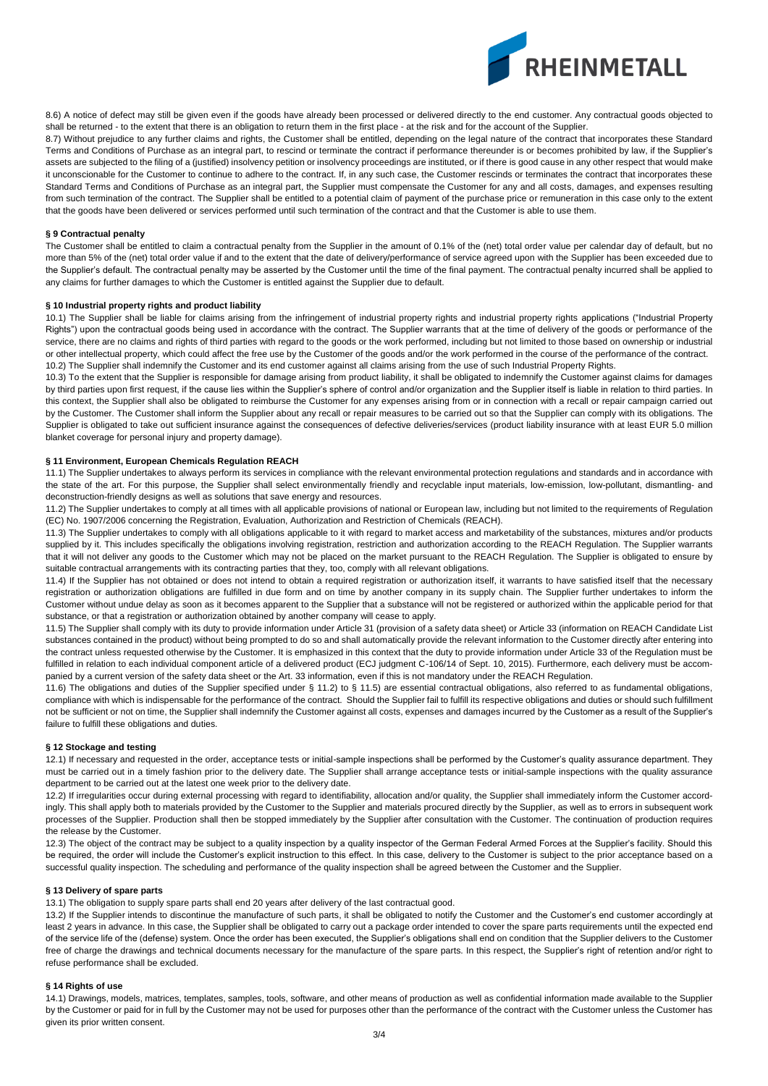

8.6) A notice of defect may still be given even if the goods have already been processed or delivered directly to the end customer. Any contractual goods objected to shall be returned - to the extent that there is an obligation to return them in the first place - at the risk and for the account of the Supplier.

8.7) Without prejudice to any further claims and rights, the Customer shall be entitled, depending on the legal nature of the contract that incorporates these Standard Terms and Conditions of Purchase as an integral part, to rescind or terminate the contract if performance thereunder is or becomes prohibited by law, if the Supplier's assets are subjected to the filing of a (justified) insolvency petition or insolvency proceedings are instituted, or if there is good cause in any other respect that would make it unconscionable for the Customer to continue to adhere to the contract. If, in any such case, the Customer rescinds or terminates the contract that incorporates these Standard Terms and Conditions of Purchase as an integral part, the Supplier must compensate the Customer for any and all costs, damages, and expenses resulting from such termination of the contract. The Supplier shall be entitled to a potential claim of payment of the purchase price or remuneration in this case only to the extent that the goods have been delivered or services performed until such termination of the contract and that the Customer is able to use them.

## **§ 9 Contractual penalty**

The Customer shall be entitled to claim a contractual penalty from the Supplier in the amount of 0.1% of the (net) total order value per calendar day of default, but no more than 5% of the (net) total order value if and to the extent that the date of delivery/performance of service agreed upon with the Supplier has been exceeded due to the Supplier's default. The contractual penalty may be asserted by the Customer until the time of the final payment. The contractual penalty incurred shall be applied to any claims for further damages to which the Customer is entitled against the Supplier due to default.

### **§ 10 Industrial property rights and product liability**

10.1) The Supplier shall be liable for claims arising from the infringement of industrial property rights and industrial property rights applications ("Industrial Property Rights") upon the contractual goods being used in accordance with the contract. The Supplier warrants that at the time of delivery of the goods or performance of the service, there are no claims and rights of third parties with regard to the goods or the work performed, including but not limited to those based on ownership or industrial or other intellectual property, which could affect the free use by the Customer of the goods and/or the work performed in the course of the performance of the contract. 10.2) The Supplier shall indemnify the Customer and its end customer against all claims arising from the use of such Industrial Property Rights.

10.3) To the extent that the Supplier is responsible for damage arising from product liability, it shall be obligated to indemnify the Customer against claims for damages by third parties upon first request, if the cause lies within the Supplier's sphere of control and/or organization and the Supplier itself is liable in relation to third parties. In this context, the Supplier shall also be obligated to reimburse the Customer for any expenses arising from or in connection with a recall or repair campaign carried out by the Customer. The Customer shall inform the Supplier about any recall or repair measures to be carried out so that the Supplier can comply with its obligations. The Supplier is obligated to take out sufficient insurance against the consequences of defective deliveries/services (product liability insurance with at least EUR 5.0 million blanket coverage for personal injury and property damage).

### **§ 11 Environment, European Chemicals Regulation REACH**

11.1) The Supplier undertakes to always perform its services in compliance with the relevant environmental protection regulations and standards and in accordance with the state of the art. For this purpose, the Supplier shall select environmentally friendly and recyclable input materials, low-emission, low-pollutant, dismantling- and deconstruction-friendly designs as well as solutions that save energy and resources.

11.2) The Supplier undertakes to comply at all times with all applicable provisions of national or European law, including but not limited to the requirements of Regulation (EC) No. 1907/2006 concerning the Registration, Evaluation, Authorization and Restriction of Chemicals (REACH).

11.3) The Supplier undertakes to comply with all obligations applicable to it with regard to market access and marketability of the substances, mixtures and/or products supplied by it. This includes specifically the obligations involving registration, restriction and authorization according to the REACH Regulation. The Supplier warrants that it will not deliver any goods to the Customer which may not be placed on the market pursuant to the REACH Regulation. The Supplier is obligated to ensure by suitable contractual arrangements with its contracting parties that they, too, comply with all relevant obligations.

11.4) If the Supplier has not obtained or does not intend to obtain a required registration or authorization itself, it warrants to have satisfied itself that the necessary registration or authorization obligations are fulfilled in due form and on time by another company in its supply chain. The Supplier further undertakes to inform the Customer without undue delay as soon as it becomes apparent to the Supplier that a substance will not be registered or authorized within the applicable period for that substance, or that a registration or authorization obtained by another company will cease to apply.

11.5) The Supplier shall comply with its duty to provide information under Article 31 (provision of a safety data sheet) or Article 33 (information on REACH Candidate List substances contained in the product) without being prompted to do so and shall automatically provide the relevant information to the Customer directly after entering into the contract unless requested otherwise by the Customer. It is emphasized in this context that the duty to provide information under Article 33 of the Regulation must be fulfilled in relation to each individual component article of a delivered product (ECJ judgment C-106/14 of Sept. 10, 2015). Furthermore, each delivery must be accompanied by a current version of the safety data sheet or the Art. 33 information, even if this is not mandatory under the REACH Regulation.

11.6) The obligations and duties of the Supplier specified under § 11.2) to § 11.5) are essential contractual obligations, also referred to as fundamental obligations, compliance with which is indispensable for the performance of the contract. Should the Supplier fail to fulfill its respective obligations and duties or should such fulfillment not be sufficient or not on time, the Supplier shall indemnify the Customer against all costs, expenses and damages incurred by the Customer as a result of the Supplier's failure to fulfill these obligations and duties.

#### **§ 12 Stockage and testing**

12.1) If necessary and requested in the order, acceptance tests or initial-sample inspections shall be performed by the Customer's quality assurance department. They must be carried out in a timely fashion prior to the delivery date. The Supplier shall arrange acceptance tests or initial-sample inspections with the quality assurance department to be carried out at the latest one week prior to the delivery date.

12.2) If irregularities occur during external processing with regard to identifiability, allocation and/or quality, the Supplier shall immediately inform the Customer accordingly. This shall apply both to materials provided by the Customer to the Supplier and materials procured directly by the Supplier, as well as to errors in subsequent work processes of the Supplier. Production shall then be stopped immediately by the Supplier after consultation with the Customer. The continuation of production requires the release by the Customer.

12.3) The object of the contract may be subject to a quality inspection by a quality inspector of the German Federal Armed Forces at the Supplier's facility. Should this be required, the order will include the Customer's explicit instruction to this effect. In this case, delivery to the Customer is subject to the prior acceptance based on a successful quality inspection. The scheduling and performance of the quality inspection shall be agreed between the Customer and the Supplier.

#### **§ 13 Delivery of spare parts**

13.1) The obligation to supply spare parts shall end 20 years after delivery of the last contractual good.

13.2) If the Supplier intends to discontinue the manufacture of such parts, it shall be obligated to notify the Customer and the Customer's end customer accordingly at least 2 years in advance. In this case, the Supplier shall be obligated to carry out a package order intended to cover the spare parts requirements until the expected end of the service life of the (defense) system. Once the order has been executed, the Supplier's obligations shall end on condition that the Supplier delivers to the Customer free of charge the drawings and technical documents necessary for the manufacture of the spare parts. In this respect, the Supplier's right of retention and/or right to refuse performance shall be excluded.

#### **§ 14 Rights of use**

14.1) Drawings, models, matrices, templates, samples, tools, software, and other means of production as well as confidential information made available to the Supplier by the Customer or paid for in full by the Customer may not be used for purposes other than the performance of the contract with the Customer unless the Customer has given its prior written consent.